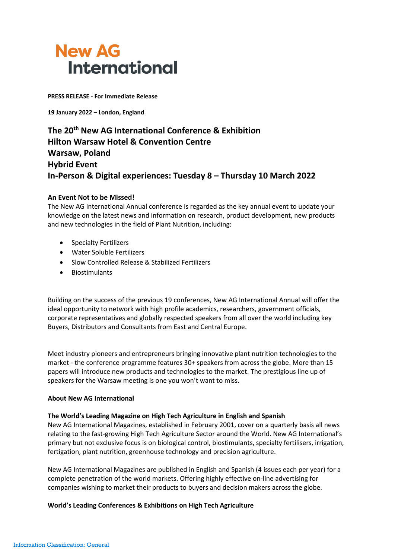

**PRESS RELEASE - For Immediate Release**

**19 January 2022 – London, England**

**The 20th New AG International Conference & Exhibition Hilton Warsaw Hotel & Convention Centre Warsaw, Poland Hybrid Event In-Person & Digital experiences: Tuesday 8 – Thursday 10 March 2022**

### **An Event Not to be Missed!**

The New AG International Annual conference is regarded as the key annual event to update your knowledge on the latest news and information on research, product development, new products and new technologies in the field of Plant Nutrition, including:

- Specialty Fertilizers
- Water Soluble Fertilizers
- Slow Controlled Release & Stabilized Fertilizers
- Biostimulants

Building on the success of the previous 19 conferences, New AG International Annual will offer the ideal opportunity to network with high profile academics, researchers, government officials, corporate representatives and globally respected speakers from all over the world including key Buyers, Distributors and Consultants from East and Central Europe.

Meet industry pioneers and entrepreneurs bringing innovative plant nutrition technologies to the market - the conference programme features 30+ speakers from across the globe. More than 15 papers will introduce new products and technologies to the market. The prestigious line up of speakers for the Warsaw meeting is one you won't want to miss.

#### **About New AG International**

#### **The World's Leading Magazine on High Tech Agriculture in English and Spanish**

New AG International Magazines, established in February 2001, cover on a quarterly basis all news relating to the fast-growing High Tech Agriculture Sector around the World. New AG International's primary but not exclusive focus is on biological control, biostimulants, specialty fertilisers, irrigation, fertigation, plant nutrition, greenhouse technology and precision agriculture.

New AG International Magazines are published in English and Spanish (4 issues each per year) for a complete penetration of the world markets. Offering highly effective on-line advertising for companies wishing to market their products to buyers and decision makers across the globe.

## **World's Leading Conferences & Exhibitions on High Tech Agriculture**